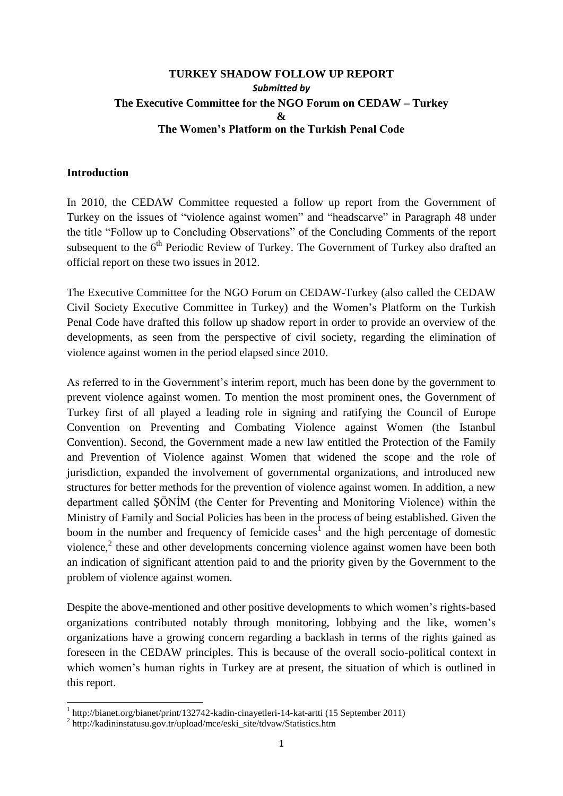### **TURKEY SHADOW FOLLOW UP REPORT** *Submitted by* **The Executive Committee for the NGO Forum on CEDAW – Turkey & The Women's Platform on the Turkish Penal Code**

#### **Introduction**

**.** 

In 2010, the CEDAW Committee requested a follow up report from the Government of Turkey on the issues of "violence against women" and "headscarve" in Paragraph 48 under the title "Follow up to Concluding Observations" of the Concluding Comments of the report subsequent to the  $6<sup>th</sup>$  Periodic Review of Turkey. The Government of Turkey also drafted an official report on these two issues in 2012.

The Executive Committee for the NGO Forum on CEDAW-Turkey (also called the CEDAW Civil Society Executive Committee in Turkey) and the Women's Platform on the Turkish Penal Code have drafted this follow up shadow report in order to provide an overview of the developments, as seen from the perspective of civil society, regarding the elimination of violence against women in the period elapsed since 2010.

As referred to in the Government's interim report, much has been done by the government to prevent violence against women. To mention the most prominent ones, the Government of Turkey first of all played a leading role in signing and ratifying the Council of Europe Convention on Preventing and Combating Violence against Women (the Istanbul Convention). Second, the Government made a new law entitled the Protection of the Family and Prevention of Violence against Women that widened the scope and the role of jurisdiction, expanded the involvement of governmental organizations, and introduced new structures for better methods for the prevention of violence against women. In addition, a new department called ŞÖNİM (the Center for Preventing and Monitoring Violence) within the Ministry of Family and Social Policies has been in the process of being established. Given the boom in the number and frequency of femicide cases<sup>1</sup> and the high percentage of domestic violence, $2$  these and other developments concerning violence against women have been both an indication of significant attention paid to and the priority given by the Government to the problem of violence against women.

Despite the above-mentioned and other positive developments to which women's rights-based organizations contributed notably through monitoring, lobbying and the like, women's organizations have a growing concern regarding a backlash in terms of the rights gained as foreseen in the CEDAW principles. This is because of the overall socio-political context in which women's human rights in Turkey are at present, the situation of which is outlined in this report.

<sup>&</sup>lt;sup>1</sup> http://bianet.org/bianet/print/132742-kadin-cinayetleri-14-kat-artti (15 September 2011)

<sup>&</sup>lt;sup>2</sup> http://kadininstatusu.gov.tr/upload/mce/eski\_site/tdvaw/Statistics.htm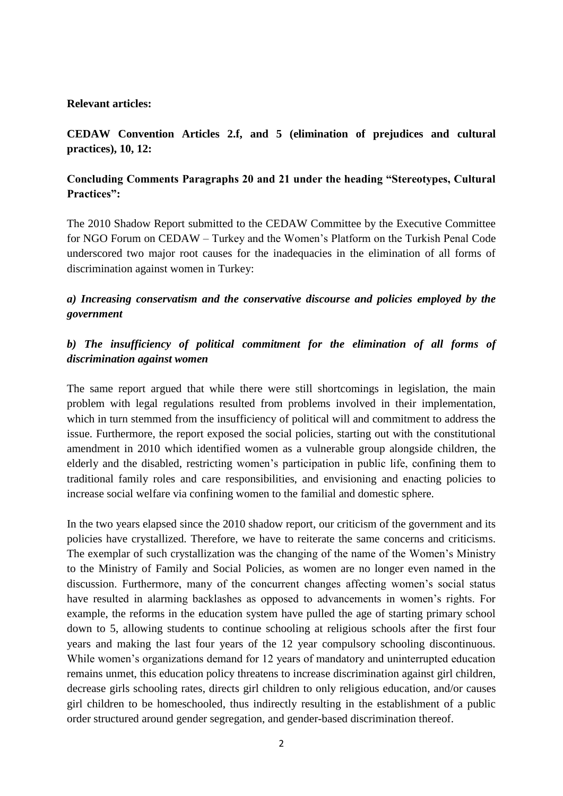#### **Relevant articles:**

## **CEDAW Convention Articles 2.f, and 5 (elimination of prejudices and cultural practices), 10, 12:**

### **Concluding Comments Paragraphs 20 and 21 under the heading "Stereotypes, Cultural Practices":**

The 2010 Shadow Report submitted to the CEDAW Committee by the Executive Committee for NGO Forum on CEDAW – Turkey and the Women's Platform on the Turkish Penal Code underscored two major root causes for the inadequacies in the elimination of all forms of discrimination against women in Turkey:

## *a) Increasing conservatism and the conservative discourse and policies employed by the government*

# *b) The insufficiency of political commitment for the elimination of all forms of discrimination against women*

The same report argued that while there were still shortcomings in legislation, the main problem with legal regulations resulted from problems involved in their implementation, which in turn stemmed from the insufficiency of political will and commitment to address the issue. Furthermore, the report exposed the social policies, starting out with the constitutional amendment in 2010 which identified women as a vulnerable group alongside children, the elderly and the disabled, restricting women's participation in public life, confining them to traditional family roles and care responsibilities, and envisioning and enacting policies to increase social welfare via confining women to the familial and domestic sphere.

In the two years elapsed since the 2010 shadow report, our criticism of the government and its policies have crystallized. Therefore, we have to reiterate the same concerns and criticisms. The exemplar of such crystallization was the changing of the name of the Women's Ministry to the Ministry of Family and Social Policies, as women are no longer even named in the discussion. Furthermore, many of the concurrent changes affecting women's social status have resulted in alarming backlashes as opposed to advancements in women's rights. For example, the reforms in the education system have pulled the age of starting primary school down to 5, allowing students to continue schooling at religious schools after the first four years and making the last four years of the 12 year compulsory schooling discontinuous. While women's organizations demand for 12 years of mandatory and uninterrupted education remains unmet, this education policy threatens to increase discrimination against girl children, decrease girls schooling rates, directs girl children to only religious education, and/or causes girl children to be homeschooled, thus indirectly resulting in the establishment of a public order structured around gender segregation, and gender-based discrimination thereof.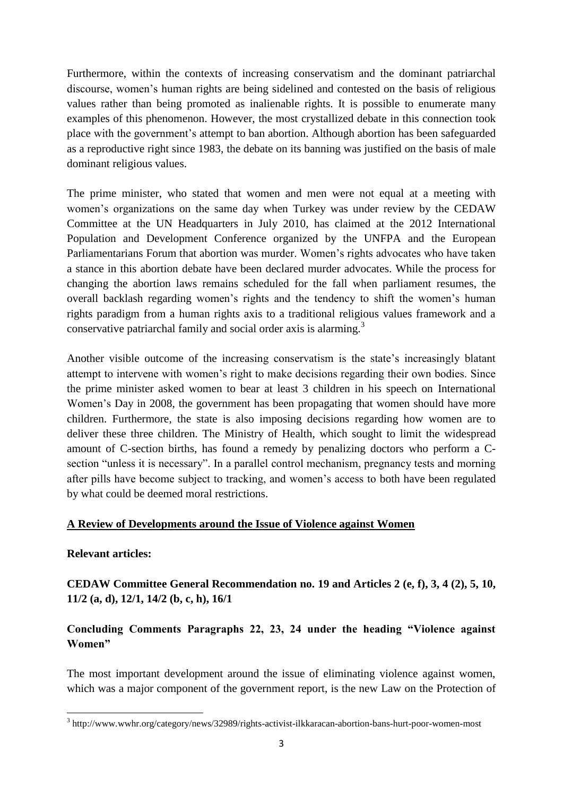Furthermore, within the contexts of increasing conservatism and the dominant patriarchal discourse, women's human rights are being sidelined and contested on the basis of religious values rather than being promoted as inalienable rights. It is possible to enumerate many examples of this phenomenon. However, the most crystallized debate in this connection took place with the government's attempt to ban abortion. Although abortion has been safeguarded as a reproductive right since 1983, the debate on its banning was justified on the basis of male dominant religious values.

The prime minister, who stated that women and men were not equal at a meeting with women's organizations on the same day when Turkey was under review by the CEDAW Committee at the UN Headquarters in July 2010, has claimed at the 2012 International Population and Development Conference organized by the UNFPA and the European Parliamentarians Forum that abortion was murder. Women's rights advocates who have taken a stance in this abortion debate have been declared murder advocates. While the process for changing the abortion laws remains scheduled for the fall when parliament resumes, the overall backlash regarding women's rights and the tendency to shift the women's human rights paradigm from a human rights axis to a traditional religious values framework and a conservative patriarchal family and social order axis is alarming.<sup>3</sup>

Another visible outcome of the increasing conservatism is the state's increasingly blatant attempt to intervene with women's right to make decisions regarding their own bodies. Since the prime minister asked women to bear at least 3 children in his speech on International Women's Day in 2008, the government has been propagating that women should have more children. Furthermore, the state is also imposing decisions regarding how women are to deliver these three children. The Ministry of Health, which sought to limit the widespread amount of C-section births, has found a remedy by penalizing doctors who perform a Csection "unless it is necessary". In a parallel control mechanism, pregnancy tests and morning after pills have become subject to tracking, and women's access to both have been regulated by what could be deemed moral restrictions.

#### **A Review of Developments around the Issue of Violence against Women**

#### **Relevant articles:**

**CEDAW Committee General Recommendation no. 19 and Articles 2 (e, f), 3, 4 (2), 5, 10, 11/2 (a, d), 12/1, 14/2 (b, c, h), 16/1** 

## **Concluding Comments Paragraphs 22, 23, 24 under the heading "Violence against Women"**

The most important development around the issue of eliminating violence against women, which was a major component of the government report, is the new Law on the Protection of

 3 http://www.wwhr.org/category/news/32989/rights-activist-ilkkaracan-abortion-bans-hurt-poor-women-most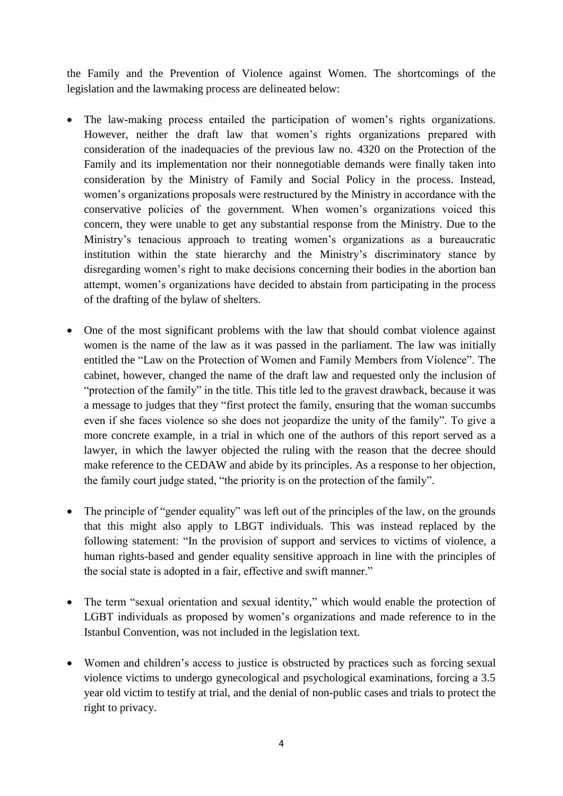the Family and the Prevention of Violence against Women. The shortcomings of the legislation and the lawmaking process are delineated below:

- The law-making process entailed the participation of women's rights organizations. However, neither the draft law that women's rights organizations prepared with consideration of the inadequacies of the previous law no. 4320 on the Protection of the Family and its implementation nor their nonnegotiable demands were finally taken into consideration by the Ministry of Family and Social Policy in the process. Instead, women's organizations proposals were restructured by the Ministry in accordance with the conservative policies of the government. When women's organizations voiced this concern, they were unable to get any substantial response from the Ministry. Due to the Ministry's tenacious approach to treating women's organizations as a bureaucratic institution within the state hierarchy and the Ministry's discriminatory stance by disregarding women's right to make decisions concerning their bodies in the abortion ban attempt, women's organizations have decided to abstain from participating in the process of the drafting of the bylaw of shelters.
- One of the most significant problems with the law that should combat violence against women is the name of the law as it was passed in the parliament. The law was initially entitled the "Law on the Protection of Women and Family Members from Violence". The cabinet, however, changed the name of the draft law and requested only the inclusion of "protection of the family" in the title. This title led to the gravest drawback, because it was a message to judges that they "first protect the family, ensuring that the woman succumbs even if she faces violence so she does not jeopardize the unity of the family". To give a more concrete example, in a trial in which one of the authors of this report served as a lawyer, in which the lawyer objected the ruling with the reason that the decree should make reference to the CEDAW and abide by its principles. As a response to her objection, the family court judge stated, "the priority is on the protection of the family".
- The principle of "gender equality" was left out of the principles of the law, on the grounds that this might also apply to LBGT individuals. This was instead replaced by the following statement: "In the provision of support and services to victims of violence, a human rights-based and gender equality sensitive approach in line with the principles of the social state is adopted in a fair, effective and swift manner."
- The term "sexual orientation and sexual identity," which would enable the protection of LGBT individuals as proposed by women's organizations and made reference to in the Istanbul Convention, was not included in the legislation text.
- Women and children's access to justice is obstructed by practices such as forcing sexual violence victims to undergo gynecological and psychological examinations, forcing a 3.5 year old victim to testify at trial, and the denial of non-public cases and trials to protect the right to privacy.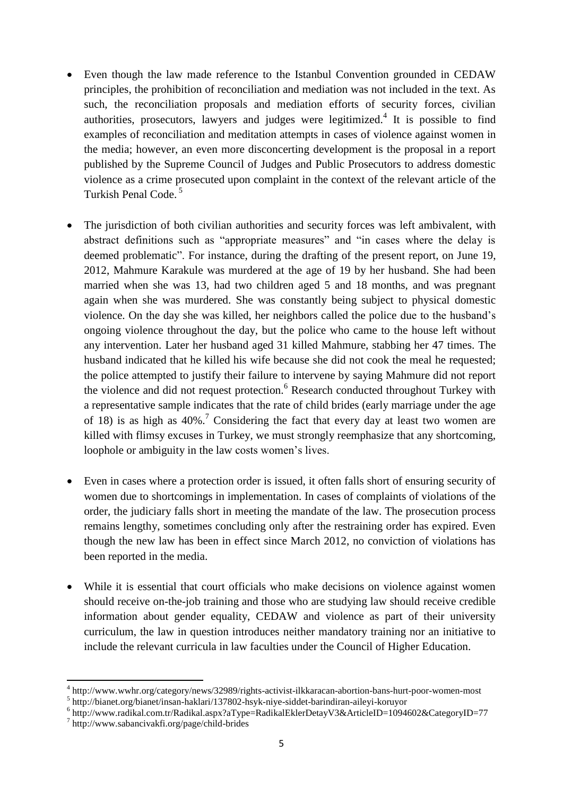- Even though the law made reference to the Istanbul Convention grounded in CEDAW principles, the prohibition of reconciliation and mediation was not included in the text. As such, the reconciliation proposals and mediation efforts of security forces, civilian authorities, prosecutors, lawyers and judges were legitimized.<sup>4</sup> It is possible to find examples of reconciliation and meditation attempts in cases of violence against women in the media; however, an even more disconcerting development is the proposal in a report published by the Supreme Council of Judges and Public Prosecutors to address domestic violence as a crime prosecuted upon complaint in the context of the relevant article of the Turkish Penal Code. 5
- The jurisdiction of both civilian authorities and security forces was left ambivalent, with abstract definitions such as "appropriate measures" and "in cases where the delay is deemed problematic". For instance, during the drafting of the present report, on June 19, 2012, Mahmure Karakule was murdered at the age of 19 by her husband. She had been married when she was 13, had two children aged 5 and 18 months, and was pregnant again when she was murdered. She was constantly being subject to physical domestic violence. On the day she was killed, her neighbors called the police due to the husband's ongoing violence throughout the day, but the police who came to the house left without any intervention. Later her husband aged 31 killed Mahmure, stabbing her 47 times. The husband indicated that he killed his wife because she did not cook the meal he requested; the police attempted to justify their failure to intervene by saying Mahmure did not report the violence and did not request protection.<sup>6</sup> Research conducted throughout Turkey with a representative sample indicates that the rate of child brides (early marriage under the age of 18) is as high as  $40\%$ .<sup>7</sup> Considering the fact that every day at least two women are killed with flimsy excuses in Turkey, we must strongly reemphasize that any shortcoming, loophole or ambiguity in the law costs women's lives.
- Even in cases where a protection order is issued, it often falls short of ensuring security of women due to shortcomings in implementation. In cases of complaints of violations of the order, the judiciary falls short in meeting the mandate of the law. The prosecution process remains lengthy, sometimes concluding only after the restraining order has expired. Even though the new law has been in effect since March 2012, no conviction of violations has been reported in the media.
- While it is essential that court officials who make decisions on violence against women should receive on-the-job training and those who are studying law should receive credible information about gender equality, CEDAW and violence as part of their university curriculum, the law in question introduces neither mandatory training nor an initiative to include the relevant curricula in law faculties under the Council of Higher Education.

**.** 

<sup>4</sup> http://www.wwhr.org/category/news/32989/rights-activist-ilkkaracan-abortion-bans-hurt-poor-women-most

<sup>5</sup> http://bianet.org/bianet/insan-haklari/137802-hsyk-niye-siddet-barindiran-aileyi-koruyor

<sup>6</sup> http://www.radikal.com.tr/Radikal.aspx?aType=RadikalEklerDetayV3&ArticleID=1094602&CategoryID=77

<sup>7</sup> http://www.sabancivakfi.org/page/child-brides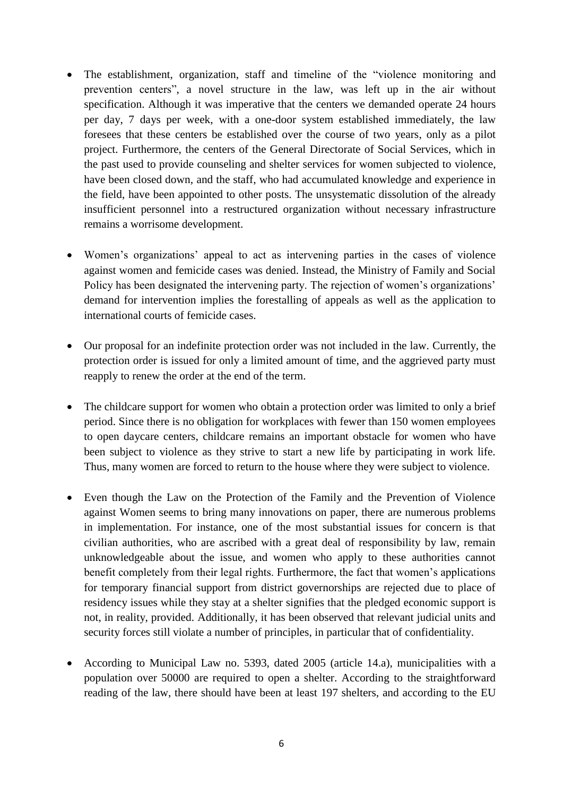- The establishment, organization, staff and timeline of the "violence monitoring and prevention centers", a novel structure in the law, was left up in the air without specification. Although it was imperative that the centers we demanded operate 24 hours per day, 7 days per week, with a one-door system established immediately, the law foresees that these centers be established over the course of two years, only as a pilot project. Furthermore, the centers of the General Directorate of Social Services, which in the past used to provide counseling and shelter services for women subjected to violence, have been closed down, and the staff, who had accumulated knowledge and experience in the field, have been appointed to other posts. The unsystematic dissolution of the already insufficient personnel into a restructured organization without necessary infrastructure remains a worrisome development.
- Women's organizations' appeal to act as intervening parties in the cases of violence against women and femicide cases was denied. Instead, the Ministry of Family and Social Policy has been designated the intervening party. The rejection of women's organizations' demand for intervention implies the forestalling of appeals as well as the application to international courts of femicide cases.
- Our proposal for an indefinite protection order was not included in the law. Currently, the protection order is issued for only a limited amount of time, and the aggrieved party must reapply to renew the order at the end of the term.
- The childcare support for women who obtain a protection order was limited to only a brief period. Since there is no obligation for workplaces with fewer than 150 women employees to open daycare centers, childcare remains an important obstacle for women who have been subject to violence as they strive to start a new life by participating in work life. Thus, many women are forced to return to the house where they were subject to violence.
- Even though the Law on the Protection of the Family and the Prevention of Violence against Women seems to bring many innovations on paper, there are numerous problems in implementation. For instance, one of the most substantial issues for concern is that civilian authorities, who are ascribed with a great deal of responsibility by law, remain unknowledgeable about the issue, and women who apply to these authorities cannot benefit completely from their legal rights. Furthermore, the fact that women's applications for temporary financial support from district governorships are rejected due to place of residency issues while they stay at a shelter signifies that the pledged economic support is not, in reality, provided. Additionally, it has been observed that relevant judicial units and security forces still violate a number of principles, in particular that of confidentiality.
- According to Municipal Law no. 5393, dated 2005 (article 14.a), municipalities with a population over 50000 are required to open a shelter. According to the straightforward reading of the law, there should have been at least 197 shelters, and according to the EU